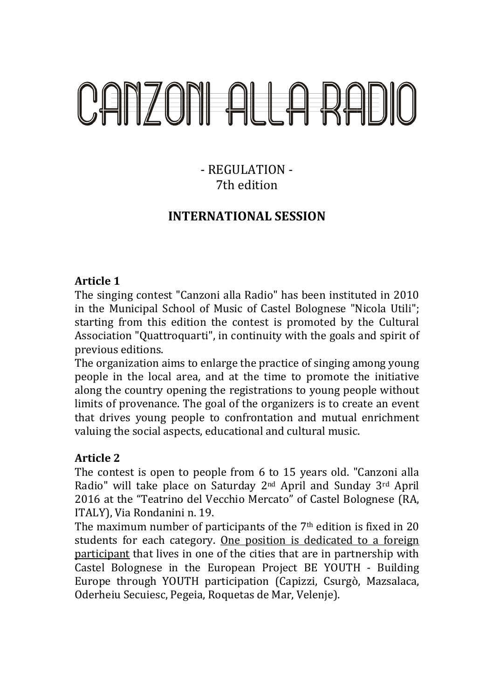## CANZONI ALLA RADIO

## - REGULATION - 7th edition

### **INTERNATIONAL SESSION**

#### **Article 1**

The singing contest " "Canzoni alla Radio" has been instituted instituted in 2010 in the Municipal School of Music Music of Castel Bolognese "Nicola Utili"; starting from this edition the contest is promoted by the Cultural Association "Quattroquarti", in continuity with the goals and spirit of previous editions.

The organization aims to enlarge the practice of singing among young people in the local area, and at the time to promote the initiative along the country opening the registrations to young people people without limits of provenance. The goal of the organizers is to create an event that drives young people to confrontation and mutual enrichment valuing the social aspects, educational and cultural mus music.

#### **Article 2**

valuing the social aspects, educational and cultural music.<br>**Article 2**<br>The contest is open to people from 6 to 15 years old. "Canzoni alla Radio" will take place on Saturday 2<sup>nd</sup> April and Sunday 3<sup>rd</sup> April 2016 at the "Teatrino del Vecchio Mercato" of Castel Bolognese Bolognese (RA, ITALY), Via Rondanini n. 19.

ITALY), Via Rondanini n. 19.<br>The maximum number of participants of the 7<sup>th</sup> edition is fixed in 20 students for each category. One position is dedicated to a foreign participant that lives in one of the cities that are in partnership with Castel Bolognese in the European Project BE YOUTH - Building Europe through YOUTH participation (Capizzi, Csurgò, Mazsalaca, Oderheiu Secuiesc, Pegeia, Roquetas de Mar, Velenje) Velenje).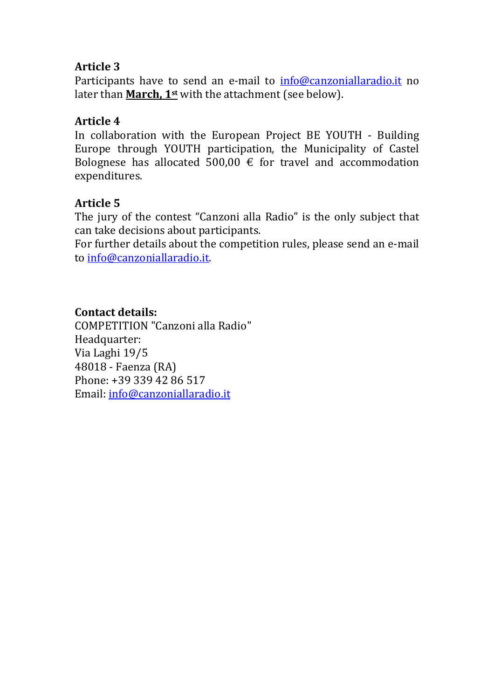#### **Article 3**

Participants have to send an e-mail to info@canzoniallaradio.it no later than **March, 1st** with the attachment (see below).

#### **Article 4**

In collaboration with the European Project BE YOUTH - Building Europe through YOUTH participation, the Municipality of Castel Bolognese has allocated 500,00  $\epsilon$  for travel and accommodation expenditures.

#### **Article 5**

The jury of the contest "Canzoni alla Radio" is the only subject that can take decisions about participants.

For further details about the competition rules, please send an e-mail to info@canzoniallaradio.it.

#### **Contact details:**

COMPETITION "Canzoni alla Radio" Headquarter: Via Laghi 19/5 48018 - Faenza (RA) Phone: +39 339 42 86 517 Email: info@canzoniallaradio.it